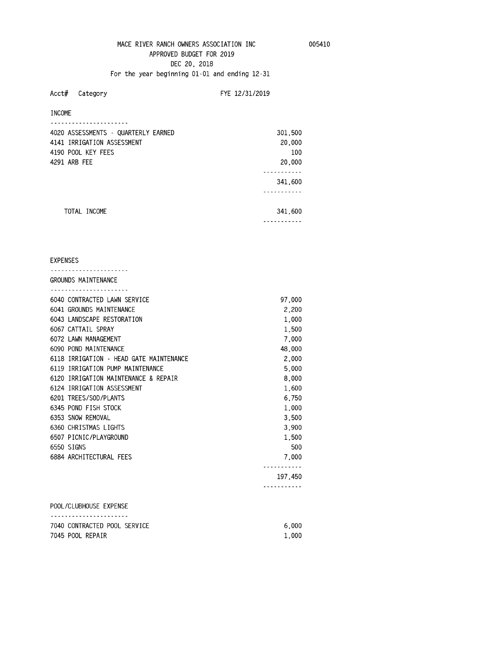# MACE RIVER RANCH OWNERS ASSOCIATION INC 005410 **APPROVED BUDGET FOR 2019 DEC 20, 2018 For the year beginning 01-01 and ending 12-31**

# **Acct# Category FYE 12/31/2019**

**INCOME** 

| 4020 ASSESSMENTS - QUARTERLY EARNED | 301,500 |  |
|-------------------------------------|---------|--|
| 4141 IRRIGATION ASSESSMENT          | 20,000  |  |
| 4190 POOL KEY FEES                  | 100     |  |
| 4291 ARB FEE                        | 20,000  |  |
|                                     |         |  |
|                                     | 341,600 |  |
|                                     |         |  |
|                                     |         |  |
| TOTAL INCOME                        | 341,600 |  |
|                                     |         |  |

## **EXPENSES**

| GROUNDS MAINTENANCE<br>.                |         |
|-----------------------------------------|---------|
| 6040 CONTRACTED LAWN SERVICE            | 97.000  |
| 6041 GROUNDS MAINTENANCE                | 2,200   |
| 6043 LANDSCAPE RESTORATION              | 1,000   |
| 6067 CATTAIL SPRAY                      | 1,500   |
| 6072 LAWN MANAGEMENT                    | 7,000   |
| 6090 POND MAINTENANCE                   | 48,000  |
| 6118 IRRIGATION - HEAD GATE MAINTENANCE | 2,000   |
| 6119 IRRIGATION PUMP MAINTENANCE        | 5,000   |
| 6120 IRRIGATION MAINTENANCE & REPAIR    | 8,000   |
| 6124 IRRIGATION ASSESSMENT              | 1,600   |
| 6201 TREES/SOD/PLANTS                   | 6.750   |
| 6345 POND FISH STOCK                    | 1.000   |
| 6353 SNOW REMOVAL                       | 3.500   |
| 6360 CHRISTMAS LIGHTS                   | 3.900   |
| 6507 PICNIC/PLAYGROUND                  | 1.500   |
| 6550 SIGNS                              | 500     |
| 6884 ARCHITECTURAL FEES                 | 7.000   |
|                                         | 197.450 |
| POOL/CLUBHOUSE EXPENSE                  |         |
|                                         |         |

| 7040 CONTRACTED POOL SERVICE | 6.000 |
|------------------------------|-------|
| 7045 POOL REPAIR             | 1.000 |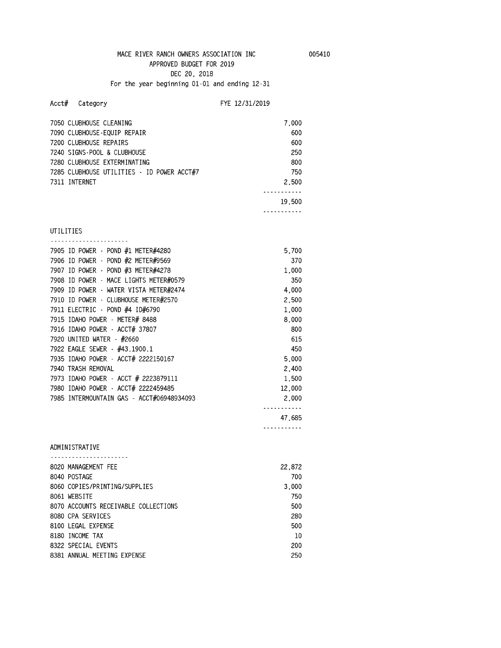**For the year beginning 01-01 and ending 12-31** 

# **Acct# Category FYE 12/31/2019**

| 7050 CLUBHOUSE CLEANING                    | 7,000  |
|--------------------------------------------|--------|
| 7090 CLUBHOUSE-EQUIP REPAIR                | 600    |
| 7200 CLUBHOUSE REPAIRS                     | 600    |
| 7240 SIGNS-POOL & CLUBHOUSE                | 250    |
| 7280 CLUBHOUSE EXTERMINATING               | 800    |
| 7285 CLUBHOUSE UTILITIES - ID POWER ACCT#7 | 750    |
| 7311 INTERNET                              | 2,500  |
|                                            | .      |
|                                            | 19,500 |
|                                            |        |
|                                            |        |
| UTILITIES                                  |        |
| 7905 ID POWER - POND #1 METER#4280         | 5,700  |
| 7906 ID POWER - POND #2 METER#9569         | 370    |
| 7907 ID POWER - POND #3 METER#4278         | 1,000  |
| 7908 ID POWER - MACE LIGHTS METER#0579     | 350    |
| 7909 ID POWER - WATER VISTA METER#2474     | 4,000  |
| 7910 ID POWER - CLUBHOUSE METER#2570       | 2,500  |
| 7911 ELECTRIC - POND #4 ID#6790            | 1,000  |
| 7915 IDAHO POWER - METER# 8488             | 8,000  |
| 7916 IDAHO POWER - ACCT# 37807             | 800    |
| 7920 UNITED WATER - #2660                  | 615    |
| 7922 EAGLE SEWER - #43.1900.1              | 450    |
| 7935 IDAHO POWER - ACCT# 2222150167        | 5,000  |
| 7940 TRASH REMOVAL                         | 2,400  |
| 7973 IDAHO POWER - ACCT # 2223879111       | 1,500  |
| 7980 IDAHO POWER - ACCT# 2222459485        | 12,000 |
| 7985 INTERMOUNTAIN GAS - ACCT#06948934093  | 2,000  |
|                                            |        |
|                                            | 47,685 |
|                                            |        |
| ADMINISTRATIVE                             |        |
| .                                          |        |
| 8020 MANAGEMENT FEE                        | 22,872 |
| 8040 POSTAGE                               | 700    |
| 8060 COPIES/PRINTING/SUPPLIES              | 3,000  |
| 8061 WEBSITE                               | 750    |
| 8070 ACCOUNTS RECEIVABLE COLLECTIONS       | 500    |
| 8080 CPA SERVICES                          | 280    |
| 8100 LEGAL EXPENSE                         | 500    |
| 8180 INCOME TAX                            | 10     |
| 8322 SPECIAL EVENTS                        | 200    |
| 8381 ANNUAL MEETING EXPENSE                | 250    |